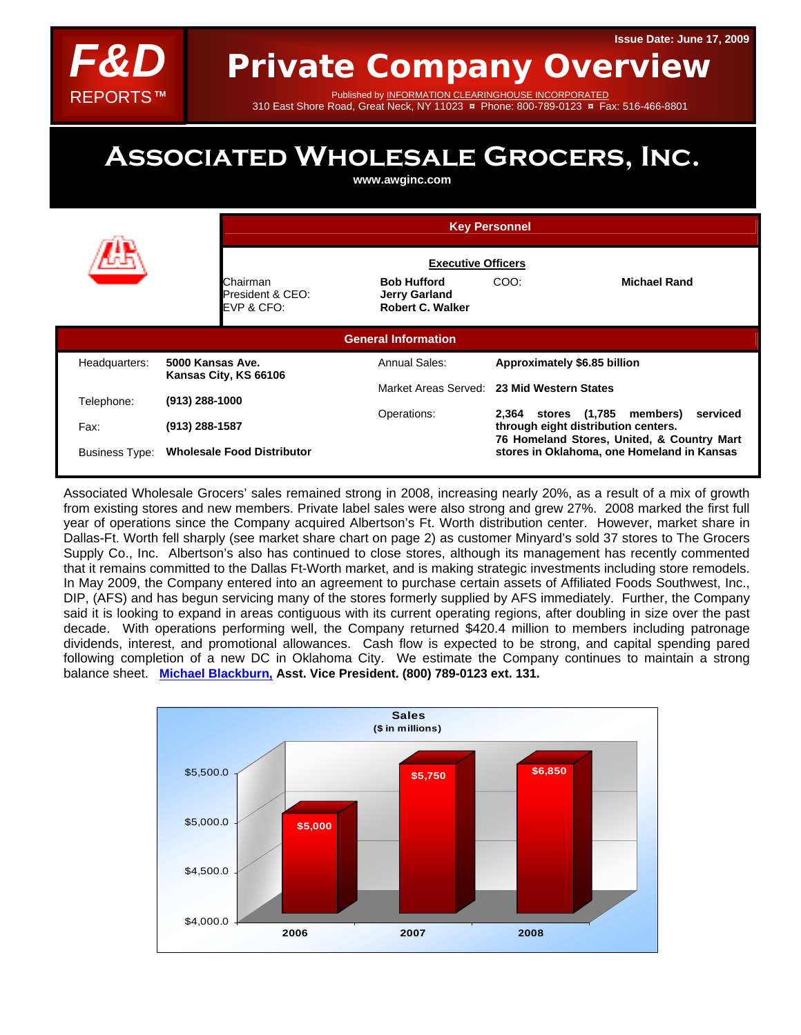

Published by INFORMATION CLEARINGHOUSE INCORPORATED

## 310 East Shore Road, Great Neck, NY 11023 **¤** Phone: 800-789-0123 **¤** Fax: 516-466-8801

# **Associated Wholesale Grocers, Inc.**

**www.awginc.com** 

|                            |                                            | <b>Key Personnel</b><br><b>Executive Officers</b>                     |                                                                                                                                                                                                                           |  |  |  |  |  |
|----------------------------|--------------------------------------------|-----------------------------------------------------------------------|---------------------------------------------------------------------------------------------------------------------------------------------------------------------------------------------------------------------------|--|--|--|--|--|
|                            |                                            |                                                                       |                                                                                                                                                                                                                           |  |  |  |  |  |
|                            | Chairman<br>President & CEO:<br>EVP & CFO: | <b>Bob Hufford</b><br><b>Jerry Garland</b><br><b>Robert C. Walker</b> | <b>Michael Rand</b><br>COO:                                                                                                                                                                                               |  |  |  |  |  |
| <b>General Information</b> |                                            |                                                                       |                                                                                                                                                                                                                           |  |  |  |  |  |
| Headquarters:              | 5000 Kansas Ave.<br>Kansas City, KS 66106  | Annual Sales:                                                         | Approximately \$6.85 billion                                                                                                                                                                                              |  |  |  |  |  |
| Telephone:                 | (913) 288-1000                             |                                                                       | Market Areas Served: 23 Mid Western States<br>2,364 stores (1,785 members)<br>serviced<br>through eight distribution centers.<br>76 Homeland Stores, United, & Country Mart<br>stores in Oklahoma, one Homeland in Kansas |  |  |  |  |  |
| Fax:                       | (913) 288-1587                             | Operations:                                                           |                                                                                                                                                                                                                           |  |  |  |  |  |
|                            | Business Type: Wholesale Food Distributor  |                                                                       |                                                                                                                                                                                                                           |  |  |  |  |  |

Associated Wholesale Grocers' sales remained strong in 2008, increasing nearly 20%, as a result of a mix of growth from existing stores and new members. Private label sales were also strong and grew 27%. 2008 marked the first full year of operations since the Company acquired Albertson's Ft. Worth distribution center. However, market share in Dallas-Ft. Worth fell sharply (see market share chart on page 2) as customer Minyard's sold 37 stores to The Grocers Supply Co., Inc. Albertson's also has continued to close stores, although its management has recently commented that it remains committed to the Dallas Ft-Worth market, and is making strategic investments including store remodels. In May 2009, the Company entered into an agreement to purchase certain assets of Affiliated Foods Southwest, Inc., DIP, (AFS) and has begun servicing many of the stores formerly supplied by AFS immediately. Further, the Company said it is looking to expand in areas contiguous with its current operating regions, after doubling in size over the past decade. With operations performing well, the Company returned \$420.4 million to members including patronage dividends, interest, and promotional allowances. Cash flow is expected to be strong, and capital spending pared following completion of a new DC in Oklahoma City. We estimate the Company continues to maintain a strong balance sheet. **[Michael Blackburn,](mailto:mikeb@fdreports.com) Asst. Vice President. (800) 789-0123 ext. 131.**

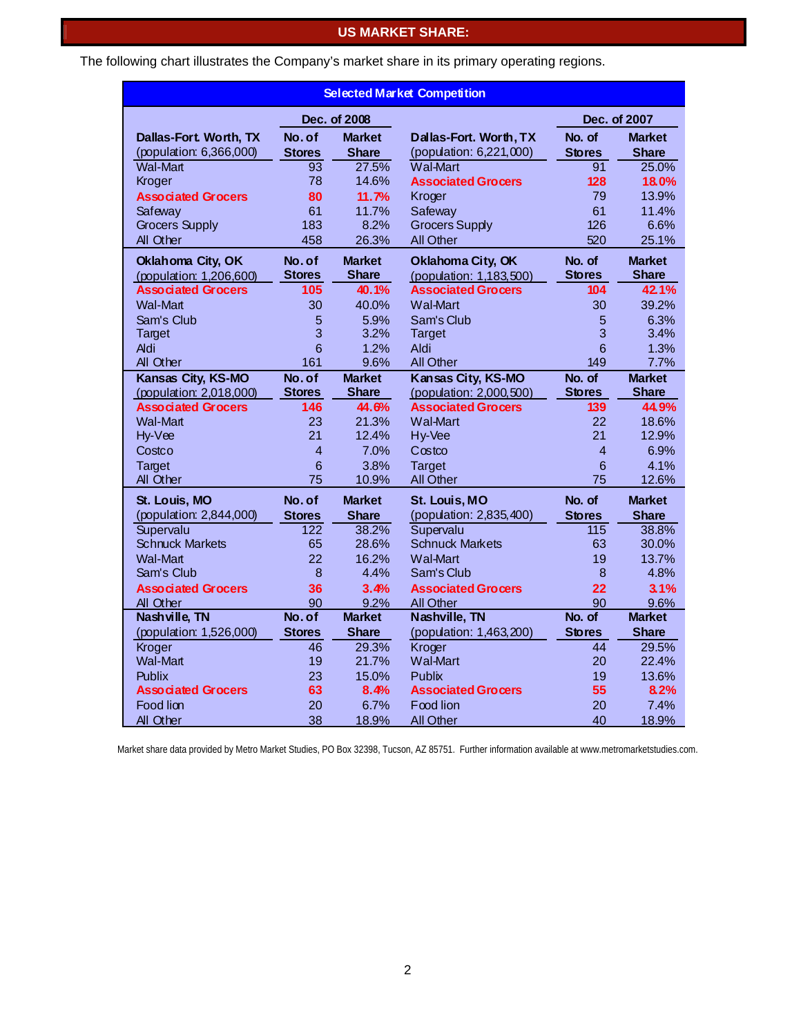## **US MARKET SHARE:**

The following chart illustrates the Company's market share in its primary operating regions.

| <b>Selected Market Competition</b> |                     |                       |                                   |                      |                       |  |  |  |  |
|------------------------------------|---------------------|-----------------------|-----------------------------------|----------------------|-----------------------|--|--|--|--|
|                                    | Dec. of 2008        |                       |                                   | Dec. of 2007         |                       |  |  |  |  |
| Dallas-Fort Worth, TX              | No. of              | <b>Market</b>         | Dallas-Fort. Worth, TX            | No. of               | <b>Market</b>         |  |  |  |  |
| (population: 6,366,000)            | <b>Stores</b>       | <b>Share</b>          | (population: 6,221,000)           | <b>Stores</b>        | <b>Share</b>          |  |  |  |  |
| <b>Wal-Mart</b>                    | 93                  | 27.5%                 | <b>Wal-Mart</b>                   | 91                   | 25.0%                 |  |  |  |  |
| Kroger                             | 78                  | 14.6%                 | <b>Associated Grocers</b>         | 128                  | 18.0%                 |  |  |  |  |
| <b>Associated Grocers</b>          | 80                  | 11.7%                 | Kroger                            | 79                   | 13.9%                 |  |  |  |  |
| Safeway                            | 61                  | 11.7%                 | Safeway                           | 61                   | 11.4%                 |  |  |  |  |
| <b>Grocers Supply</b>              | 183                 | 8.2%                  | <b>Grocers Supply</b>             | 126                  | 6.6%                  |  |  |  |  |
| All Other                          | 458                 | 26.3%                 | <b>All Other</b>                  | 520                  | 25.1%                 |  |  |  |  |
| Oklahoma City, OK                  | No. of              | <b>Market</b>         | Oklahoma City, OK                 | No. of               | <b>Market</b>         |  |  |  |  |
| (population: 1,206,600)            | <b>Stores</b>       | <b>Share</b>          | (population: 1,183,500)           | <b>Stores</b>        | <b>Share</b>          |  |  |  |  |
| <b>Associated Grocers</b>          | 105                 | 40.1%                 | <b>Associated Grocers</b>         | 104                  | 42.1%                 |  |  |  |  |
| <b>Wal-Mart</b>                    | 30                  | 40.0%                 | <b>Wal-Mart</b>                   | 30                   | 39.2%                 |  |  |  |  |
| Sam's Club                         | 5                   | 5.9%                  | Sam's Club                        | 5                    | 6.3%                  |  |  |  |  |
| <b>Target</b>                      | 3                   | 3.2%                  | <b>Target</b>                     | 3                    | 3.4%                  |  |  |  |  |
| <b>Aldi</b>                        | 6                   | 1.2%                  | Aldi                              | 6                    | 1.3%                  |  |  |  |  |
| All Other                          | 161                 | 9.6%                  | <b>All Other</b>                  | 149                  | 7.7%                  |  |  |  |  |
| Kansas City, KS-MO                 | No. of              | <b>Market</b>         | Kansas City, KS-MO                | No. of               | <b>Market</b>         |  |  |  |  |
| (population: 2,018,000)            | <b>Stores</b>       | <b>Share</b>          | (population: 2,000,500)           | <b>Stores</b>        | <b>Share</b>          |  |  |  |  |
| <b>Associated Grocers</b>          | 146                 | 44.6%                 | <b>Associated Grocers</b>         | 139                  | 44.9%                 |  |  |  |  |
| Wal-Mart                           | 23<br>21            | 21.3%                 | <b>Wal-Mart</b>                   | 22                   | 18.6%                 |  |  |  |  |
| Hy-Vee                             | $\overline{4}$      | 12.4%<br>7.0%         | Hy-Vee                            | 21<br>$\overline{4}$ | 12.9%<br>6.9%         |  |  |  |  |
| Costco                             |                     |                       | Costco                            |                      |                       |  |  |  |  |
| <b>Target</b><br>All Other         | 6<br>75             | 3.8%<br>10.9%         | <b>Target</b><br>All Other        | 6<br>75              | 4.1%<br>12.6%         |  |  |  |  |
|                                    |                     |                       |                                   |                      |                       |  |  |  |  |
| St. Louis, MO                      | No. of              | <b>Market</b>         | St. Louis, MO                     | No. of               | <b>Market</b>         |  |  |  |  |
| (population: 2,844,000)            | <b>Stores</b>       | <b>Share</b>          | (population: 2,835,400)           | <b>Stores</b>        | <b>Share</b>          |  |  |  |  |
| Supervalu                          | 122                 | 38.2%                 | Supervalu                         | 115                  | 38.8%                 |  |  |  |  |
| <b>Schnuck Markets</b>             | 65                  | 28.6%                 | <b>Schnuck Markets</b>            | 63                   | 30.0%                 |  |  |  |  |
| Wal-Mart                           | 22                  | 16.2%                 | <b>Wal-Mart</b>                   | 19                   | 13.7%                 |  |  |  |  |
| Sam's Club                         | 8                   | 4.4%                  | Sam's Club                        | 8                    | 4.8%                  |  |  |  |  |
| <b>Associated Grocers</b>          | 36                  | 3.4%                  | <b>Associated Grocers</b>         | 22                   | 3.1%                  |  |  |  |  |
| All Other<br>Nashville, TN         | 90<br>No. of        | 9.2%<br><b>Market</b> | All Other<br>Nashville, TN        | 90<br>No. of         | 9.6%<br><b>Market</b> |  |  |  |  |
|                                    |                     | <b>Share</b>          |                                   |                      | <b>Share</b>          |  |  |  |  |
| (population: 1,526,000)<br>Kroger  | <b>Stores</b><br>46 | 29.3%                 | (population: 1,463,200)<br>Kroger | <b>Stores</b><br>44  | 29.5%                 |  |  |  |  |
| Wal-Mart                           | 19                  | 21.7%                 | <b>Wal-Mart</b>                   | 20                   | 22.4%                 |  |  |  |  |
| <b>Publix</b>                      | 23                  | 15.0%                 | Publix                            | 19                   | 13.6%                 |  |  |  |  |
| <b>Associated Grocers</b>          | 63                  | 8.4%                  | <b>Associated Grocers</b>         | 55                   | 8.2%                  |  |  |  |  |
| Food lion                          | 20                  | 6.7%                  | Food lion                         | 20                   | 7.4%                  |  |  |  |  |
| All Other                          | 38                  | 18.9%                 | <b>All Other</b>                  | 40                   | 18.9%                 |  |  |  |  |

Market share data provided by Metro Market Studies, PO Box 32398, Tucson, AZ 85751. Further information available at www.metromarketstudies.com.